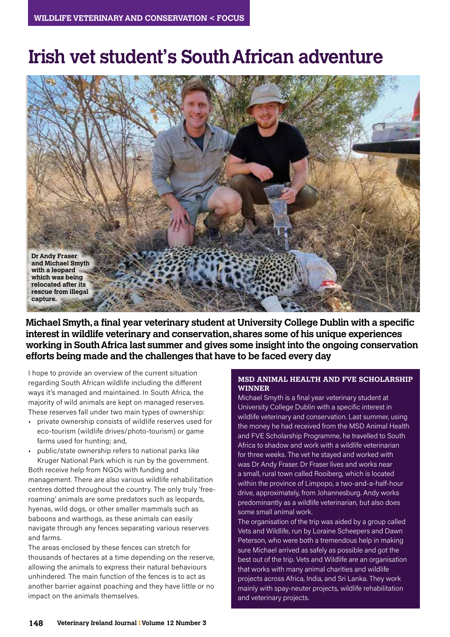# **Irish vet student's South African adventure**



**Michael Smyth, a final year veterinary student at University College Dublin with a specific interest in wildlife veterinary and conservation, shares some of his unique experiences working in South Africa last summer and gives some insight into the ongoing conservation efforts being made and the challenges that have to be faced every day**

I hope to provide an overview of the current situation regarding South African wildlife including the different ways it's managed and maintained. In South Africa, the majority of wild animals are kept on managed reserves. These reserves fall under two main types of ownership:

• private ownership consists of wildlife reserves used for eco-tourism (wildlife drives/photo-tourism) or game farms used for hunting; and,

• public/state ownership refers to national parks like Kruger National Park which is run by the government. Both receive help from NGOs with funding and management. There are also various wildlife rehabilitation centres dotted throughout the country. The only truly 'freeroaming' animals are some predators such as leopards, hyenas, wild dogs, or other smaller mammals such as baboons and warthogs, as these animals can easily navigate through any fences separating various reserves and farms.

The areas enclosed by these fences can stretch for thousands of hectares at a time depending on the reserve, allowing the animals to express their natural behaviours unhindered. The main function of the fences is to act as another barrier against poaching and they have little or no impact on the animals themselves.

## **MSD ANIMAL HEALTH AND FVE SCHOLARSHIP WINNER**

Michael Smyth is a final year veterinary student at University College Dublin with a specific interest in wildlife veterinary and conservation. Last summer, using the money he had received from the MSD Animal Health and FVE Scholarship Programme, he travelled to South Africa to shadow and work with a wildlife veterinarian for three weeks. The vet he stayed and worked with was Dr Andy Fraser. Dr Fraser lives and works near a small, rural town called Rooiberg, which is located within the province of Limpopo, a two-and-a-half-hour drive, approximately, from Johannesburg. Andy works predominantly as a wildlife veterinarian, but also does some small animal work.

The organisation of the trip was aided by a group called Vets and Wildlife, run by Loraine Scheepers and Dawn Peterson, who were both a tremendous help in making sure Michael arrived as safely as possible and got the best out of the trip. Vets and Wildlife are an organisation that works with many animal charities and wildlife projects across Africa, India, and Sri Lanka. They work mainly with spay-neuter projects, wildlife rehabilitation and veterinary projects.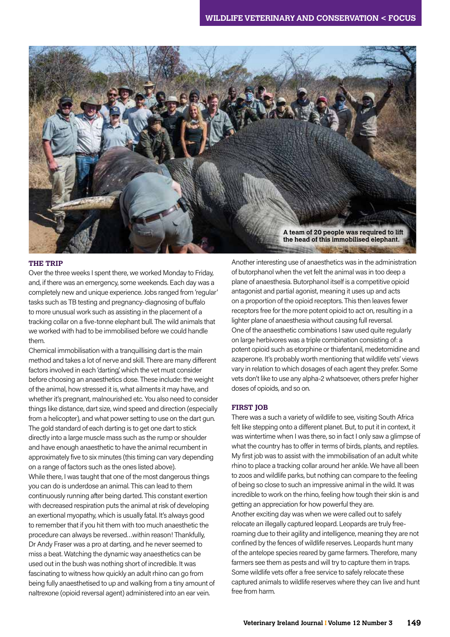

### **THE TRIP**

Over the three weeks I spent there, we worked Monday to Friday, and, if there was an emergency, some weekends. Each day was a completely new and unique experience. Jobs ranged from 'regular' tasks such as TB testing and pregnancy-diagnosing of buffalo to more unusual work such as assisting in the placement of a tracking collar on a five-tonne elephant bull. The wild animals that we worked with had to be immobilised before we could handle them.

Chemical immobilisation with a tranquillising dart is the main method and takes a lot of nerve and skill. There are many different factors involved in each 'darting', which the vet must consider before choosing an anaesthetics dose. These include: the weight of the animal, how stressed it is, what ailments it may have, and whether it's pregnant, malnourished etc. You also need to consider things like distance, dart size, wind speed and direction (especially from a helicopter), and what power setting to use on the dart gun. The gold standard of each darting is to get one dart to stick directly into a large muscle mass such as the rump or shoulder and have enough anaesthetic to have the animal recumbent in approximately five to six minutes (this timing can vary depending on a range of factors such as the ones listed above). While there, I was taught that one of the most dangerous things you can do is underdose an animal. This can lead to them continuously running after being darted. This constant exertion with decreased respiration puts the animal at risk of developing an exertional myopathy, which is usually fatal. It's always good to remember that if you hit them with too much anaesthetic the procedure can always be reversed…within reason! Thankfully, Dr Andy Fraser was a pro at darting, and he never seemed to miss a beat. Watching the dynamic way anaesthetics can be used out in the bush was nothing short of incredible. It was fascinating to witness how quickly an adult rhino can go from being fully anaesthetised to up and walking from a tiny amount of naltrexone (opioid reversal agent) administered into an ear vein.

Another interesting use of anaesthetics was in the administration of butorphanol when the vet felt the animal was in too deep a plane of anaesthesia. Butorphanol itself is a competitive opioid antagonist and partial agonist, meaning it uses up and acts on a proportion of the opioid receptors. This then leaves fewer receptors free for the more potent opioid to act on, resulting in a lighter plane of anaesthesia without causing full reversal. One of the anaesthetic combinations I saw used quite regularly on large herbivores was a triple combination consisting of: a potent opioid such as etorphine or thiafentanil, medetomidine and azaperone. It's probably worth mentioning that wildlife vets' views vary in relation to which dosages of each agent they prefer. Some vets don't like to use any alpha-2 whatsoever, others prefer higher doses of opioids, and so on.

#### **FIRST JOB**

There was a such a variety of wildlife to see, visiting South Africa felt like stepping onto a different planet. But, to put it in context, it was wintertime when I was there, so in fact I only saw a glimpse of what the country has to offer in terms of birds, plants, and reptiles. My first job was to assist with the immobilisation of an adult white rhino to place a tracking collar around her ankle. We have all been to zoos and wildlife parks, but nothing can compare to the feeling of being so close to such an impressive animal in the wild. It was incredible to work on the rhino, feeling how tough their skin is and getting an appreciation for how powerful they are. Another exciting day was when we were called out to safely relocate an illegally captured leopard. Leopards are truly freeroaming due to their agility and intelligence, meaning they are not confined by the fences of wildlife reserves. Leopards hunt many of the antelope species reared by game farmers. Therefore, many farmers see them as pests and will try to capture them in traps. Some wildlife vets offer a free service to safely relocate these captured animals to wildlife reserves where they can live and hunt free from harm.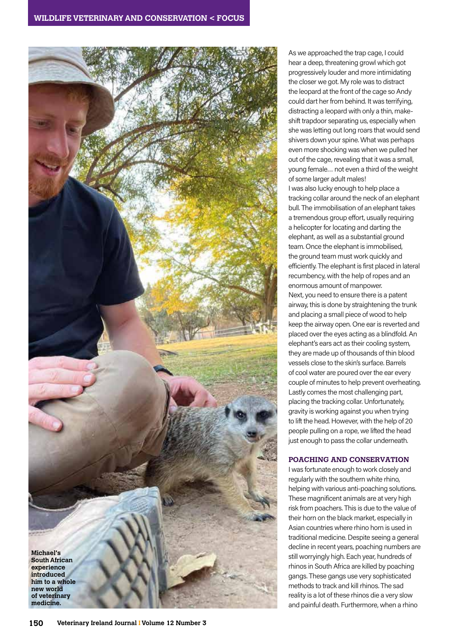

As we approached the trap cage, I could hear a deep, threatening growl which got progressively louder and more intimidating the closer we got. My role was to distract the leopard at the front of the cage so Andy could dart her from behind. It was terrifying, distracting a leopard with only a thin, makeshift trapdoor separating us, especially when she was letting out long roars that would send shivers down your spine. What was perhaps even more shocking was when we pulled her out of the cage, revealing that it was a small, young female… not even a third of the weight of some larger adult males!

I was also lucky enough to help place a tracking collar around the neck of an elephant bull. The immobilisation of an elephant takes a tremendous group effort, usually requiring a helicopter for locating and darting the elephant, as well as a substantial ground team. Once the elephant is immobilised, the ground team must work quickly and efficiently. The elephant is first placed in lateral recumbency, with the help of ropes and an enormous amount of manpower. Next, you need to ensure there is a patent airway, this is done by straightening the trunk and placing a small piece of wood to help keep the airway open. One ear is reverted and placed over the eyes acting as a blindfold. An elephant's ears act as their cooling system, they are made up of thousands of thin blood vessels close to the skin's surface. Barrels of cool water are poured over the ear every couple of minutes to help prevent overheating. Lastly comes the most challenging part, placing the tracking collar. Unfortunately, gravity is working against you when trying to lift the head. However, with the help of 20 people pulling on a rope, we lifted the head just enough to pass the collar underneath.

## **POACHING AND CONSERVATION**

I was fortunate enough to work closely and regularly with the southern white rhino, helping with various anti-poaching solutions. These magnificent animals are at very high risk from poachers. This is due to the value of their horn on the black market, especially in Asian countries where rhino horn is used in traditional medicine. Despite seeing a general decline in recent years, poaching numbers are still worryingly high. Each year, hundreds of rhinos in South Africa are killed by poaching gangs. These gangs use very sophisticated methods to track and kill rhinos. The sad reality is a lot of these rhinos die a very slow and painful death. Furthermore, when a rhino